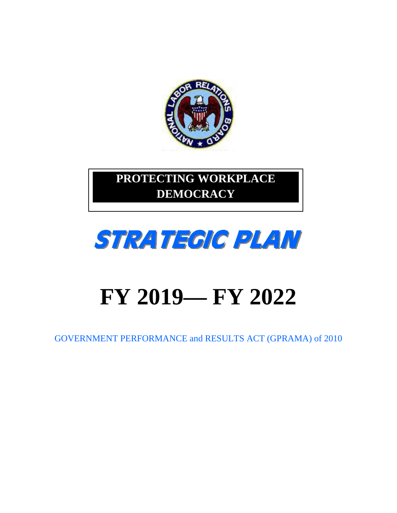

# **PROTECTING WORKPLACE DEMOCRACY**



# **FY 2019— FY 2022**

GOVERNMENT PERFORMANCE and RESULTS ACT (GPRAMA) of 2010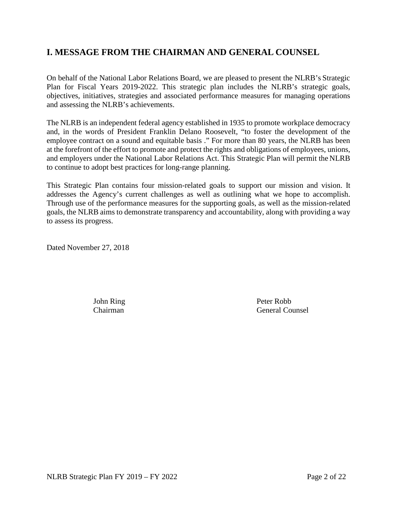# **I. MESSAGE FROM THE CHAIRMAN AND GENERAL COUNSEL**

On behalf of the National Labor Relations Board, we are pleased to present the NLRB's Strategic Plan for Fiscal Years 2019-2022. This strategic plan includes the NLRB's strategic goals, objectives, initiatives, strategies and associated performance measures for managing operations and assessing the NLRB's achievements.

The NLRB is an independent federal agency established in 1935 to promote workplace democracy and, in the words of President Franklin Delano Roosevelt, "to foster the development of the employee contract on a sound and equitable basis ." For more than 80 years, the NLRB has been at the forefront of the effort to promote and protect the rights and obligations of employees, unions, and employers under the National Labor Relations Act. This Strategic Plan will permit the NLRB to continue to adopt best practices for long-range planning.

This Strategic Plan contains four mission-related goals to support our mission and vision. It addresses the Agency's current challenges as well as outlining what we hope to accomplish. Through use of the performance measures for the supporting goals, as well as the mission-related goals, the NLRB aims to demonstrate transparency and accountability, along with providing a way to assess its progress.

Dated November 27, 2018

John Ring Peter Robb Chairman General Counsel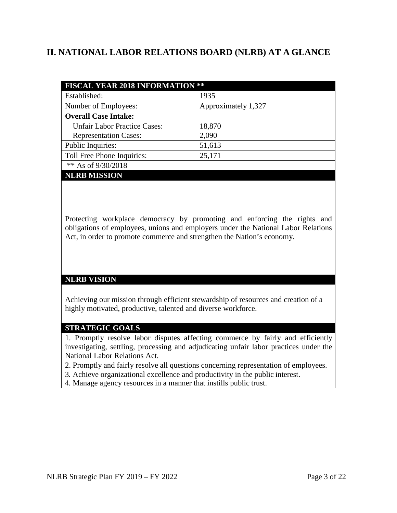# **II. NATIONAL LABOR RELATIONS BOARD (NLRB) AT A GLANCE**

| <b>FISCAL YEAR 2018 INFORMATION **</b> |                     |  |
|----------------------------------------|---------------------|--|
| Established:                           | 1935                |  |
| Number of Employees:                   | Approximately 1,327 |  |
| <b>Overall Case Intake:</b>            |                     |  |
| <b>Unfair Labor Practice Cases:</b>    | 18,870              |  |
| <b>Representation Cases:</b>           | 2,090               |  |
| Public Inquiries:                      | 51,613              |  |
| Toll Free Phone Inquiries:             | 25,171              |  |
| ** As of 9/30/2018                     |                     |  |
| <b>NLRB MISSION</b>                    |                     |  |

Protecting workplace democracy by promoting and enforcing the rights and obligations of employees, unions and employers under the National Labor Relations Act, in order to promote commerce and strengthen the Nation's economy.

#### **NLRB VISION**

Achieving our mission through efficient stewardship of resources and creation of a highly motivated, productive, talented and diverse workforce.

#### **STRATEGIC GOALS**

1. Promptly resolve labor disputes affecting commerce by fairly and efficiently investigating, settling, processing and adjudicating unfair labor practices under the National Labor Relations Act.

- 2. Promptly and fairly resolve all questions concerning representation of employees.
- 3. Achieve organizational excellence and productivity in the public interest.
- 4. Manage agency resources in a manner that instills public trust.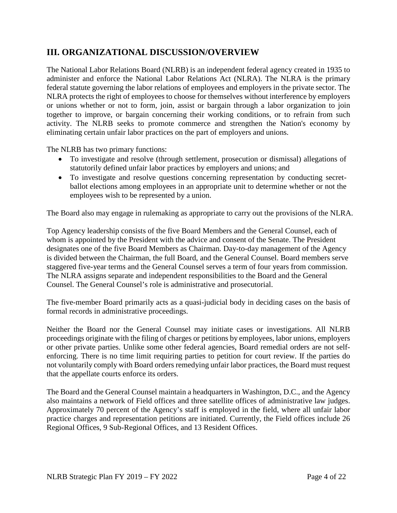# **III. ORGANIZATIONAL DISCUSSION/OVERVIEW**

The National Labor Relations Board (NLRB) is an independent federal agency created in 1935 to administer and enforce the National Labor Relations Act (NLRA). The NLRA is the primary federal statute governing the labor relations of employees and employers in the private sector. The NLRA protects the right of employees to choose for themselves without interference by employers or unions whether or not to form, join, assist or bargain through a labor organization to join together to improve, or bargain concerning their working conditions, or to refrain from such activity. The NLRB seeks to promote commerce and strengthen the Nation's economy by eliminating certain unfair labor practices on the part of employers and unions.

The NLRB has two primary functions:

- To investigate and resolve (through settlement, prosecution or dismissal) allegations of statutorily defined unfair labor practices by employers and unions; and
- To investigate and resolve questions concerning representation by conducting secretballot elections among employees in an appropriate unit to determine whether or not the employees wish to be represented by a union.

The Board also may engage in rulemaking as appropriate to carry out the provisions of the NLRA.

Top Agency leadership consists of the five Board Members and the General Counsel, each of whom is appointed by the President with the advice and consent of the Senate. The President designates one of the five Board Members as Chairman. Day-to-day management of the Agency is divided between the Chairman, the full Board, and the General Counsel. Board members serve staggered five-year terms and the General Counsel serves a term of four years from commission. The NLRA assigns separate and independent responsibilities to the Board and the General Counsel. The General Counsel's role is administrative and prosecutorial.

The five-member Board primarily acts as a quasi-judicial body in deciding cases on the basis of formal records in administrative proceedings.

Neither the Board nor the General Counsel may initiate cases or investigations. All NLRB proceedings originate with the filing of charges or petitions by employees, labor unions, employers or other private parties. Unlike some other federal agencies, Board remedial orders are not selfenforcing. There is no time limit requiring parties to petition for court review. If the parties do not voluntarily comply with Board orders remedying unfair labor practices, the Board must request that the appellate courts enforce its orders.

The Board and the General Counsel maintain a headquarters in Washington, D.C., and the Agency also maintains a network of Field offices and three satellite offices of administrative law judges. Approximately 70 percent of the Agency's staff is employed in the field, where all unfair labor practice charges and representation petitions are initiated. Currently, the Field offices include 26 Regional Offices, 9 Sub-Regional Offices, and 13 Resident Offices.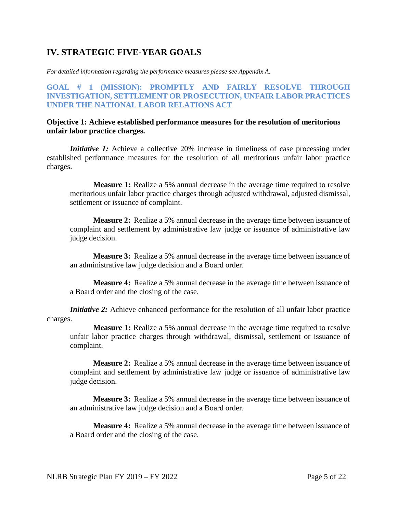# **IV. STRATEGIC FIVE-YEAR GOALS**

*For detailed information regarding the performance measures please see Appendix A.*

#### **GOAL # 1 (MISSION): PROMPTLY AND FAIRLY RESOLVE THROUGH INVESTIGATION, SETTLEMENT OR PROSECUTION, UNFAIR LABOR PRACTICES UNDER THE NATIONAL LABOR RELATIONS ACT**

#### **Objective 1: Achieve established performance measures for the resolution of meritorious unfair labor practice charges.**

*Initiative 1:* Achieve a collective 20% increase in timeliness of case processing under established performance measures for the resolution of all meritorious unfair labor practice charges.

**Measure 1:** Realize a 5% annual decrease in the average time required to resolve meritorious unfair labor practice charges through adjusted withdrawal, adjusted dismissal, settlement or issuance of complaint.

**Measure 2:** Realize a 5% annual decrease in the average time between issuance of complaint and settlement by administrative law judge or issuance of administrative law judge decision.

**Measure 3:** Realize a 5% annual decrease in the average time between issuance of an administrative law judge decision and a Board order.

**Measure 4:** Realize a 5% annual decrease in the average time between issuance of a Board order and the closing of the case.

*Initiative 2:* Achieve enhanced performance for the resolution of all unfair labor practice charges.

**Measure 1:** Realize a 5% annual decrease in the average time required to resolve unfair labor practice charges through withdrawal, dismissal, settlement or issuance of complaint.

**Measure 2:** Realize a 5% annual decrease in the average time between issuance of complaint and settlement by administrative law judge or issuance of administrative law judge decision.

**Measure 3:** Realize a 5% annual decrease in the average time between issuance of an administrative law judge decision and a Board order.

**Measure 4:** Realize a 5% annual decrease in the average time between issuance of a Board order and the closing of the case.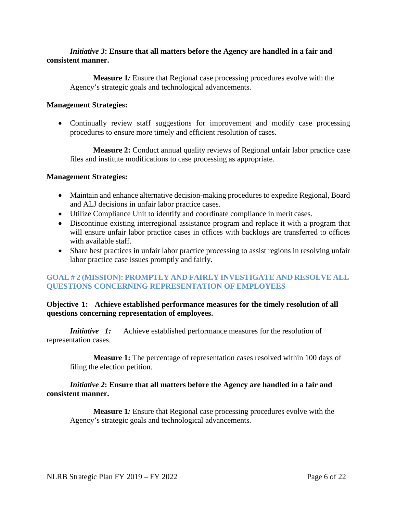#### *Initiative 3***: Ensure that all matters before the Agency are handled in a fair and consistent manner.**

**Measure 1***:* Ensure that Regional case processing procedures evolve with the Agency's strategic goals and technological advancements.

#### **Management Strategies:**

• Continually review staff suggestions for improvement and modify case processing procedures to ensure more timely and efficient resolution of cases.

**Measure 2:** Conduct annual quality reviews of Regional unfair labor practice case files and institute modifications to case processing as appropriate.

#### **Management Strategies:**

- Maintain and enhance alternative decision-making procedures to expedite Regional, Board and ALJ decisions in unfair labor practice cases.
- Utilize Compliance Unit to identify and coordinate compliance in merit cases.
- Discontinue existing interregional assistance program and replace it with a program that will ensure unfair labor practice cases in offices with backlogs are transferred to offices with available staff.
- Share best practices in unfair labor practice processing to assist regions in resolving unfair labor practice case issues promptly and fairly.

#### **GOAL # 2 (MISSION): PROMPTLY AND FAIRLY INVESTIGATE AND RESOLVE ALL QUESTIONS CONCERNING REPRESENTATION OF EMPLOYEES**

#### **Objective 1: Achieve established performance measures for the timely resolution of all questions concerning representation of employees.**

*Initiative 1:* Achieve established performance measures for the resolution of representation cases.

**Measure 1:** The percentage of representation cases resolved within 100 days of filing the election petition.

#### *Initiative 2***: Ensure that all matters before the Agency are handled in a fair and consistent manner.**

**Measure 1***:* Ensure that Regional case processing procedures evolve with the Agency's strategic goals and technological advancements.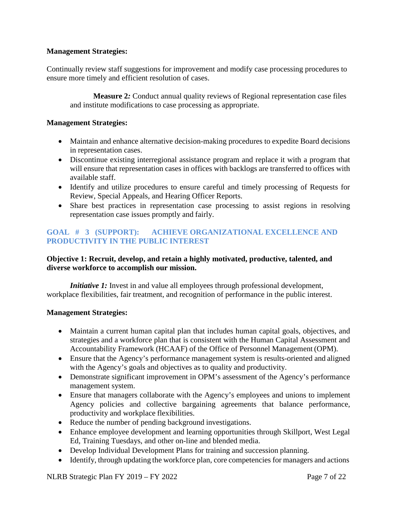#### **Management Strategies:**

Continually review staff suggestions for improvement and modify case processing procedures to ensure more timely and efficient resolution of cases.

**Measure 2***:* Conduct annual quality reviews of Regional representation case files and institute modifications to case processing as appropriate.

#### **Management Strategies:**

- Maintain and enhance alternative decision-making procedures to expedite Board decisions in representation cases.
- Discontinue existing interregional assistance program and replace it with a program that will ensure that representation cases in offices with backlogs are transferred to offices with available staff.
- Identify and utilize procedures to ensure careful and timely processing of Requests for Review, Special Appeals, and Hearing Officer Reports.
- Share best practices in representation case processing to assist regions in resolving representation case issues promptly and fairly.

#### **GOAL # 3 (SUPPORT): ACHIEVE ORGANIZATIONAL EXCELLENCE AND PRODUCTIVITY IN THE PUBLIC INTEREST**

#### **Objective 1: Recruit, develop, and retain a highly motivated, productive, talented, and diverse workforce to accomplish our mission.**

*Initiative 1:* Invest in and value all employees through professional development, workplace flexibilities, fair treatment, and recognition of performance in the public interest.

#### **Management Strategies:**

- Maintain a current human capital plan that includes human capital goals, objectives, and strategies and a workforce plan that is consistent with the Human Capital Assessment and Accountability Framework (HCAAF) of the Office of Personnel Management (OPM).
- Ensure that the Agency's performance management system is results-oriented and aligned with the Agency's goals and objectives as to quality and productivity.
- Demonstrate significant improvement in OPM's assessment of the Agency's performance management system.
- Ensure that managers collaborate with the Agency's employees and unions to implement Agency policies and collective bargaining agreements that balance performance, productivity and workplace flexibilities.
- Reduce the number of pending background investigations.
- Enhance employee development and learning opportunities through Skillport, West Legal Ed, Training Tuesdays, and other on-line and blended media.
- Develop Individual Development Plans for training and succession planning.
- Identify, through updating the workforce plan, core competencies for managers and actions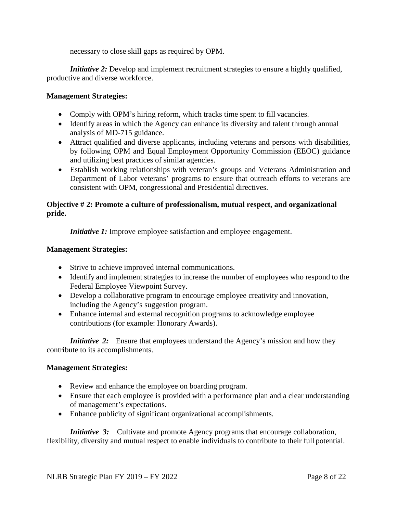necessary to close skill gaps as required by OPM.

*Initiative 2:* Develop and implement recruitment strategies to ensure a highly qualified, productive and diverse workforce.

#### **Management Strategies:**

- Comply with OPM's hiring reform, which tracks time spent to fill vacancies.
- Identify areas in which the Agency can enhance its diversity and talent through annual analysis of MD-715 guidance.
- Attract qualified and diverse applicants, including veterans and persons with disabilities, by following OPM and Equal Employment Opportunity Commission (EEOC) guidance and utilizing best practices of similar agencies.
- Establish working relationships with veteran's groups and Veterans Administration and Department of Labor veterans' programs to ensure that outreach efforts to veterans are consistent with OPM, congressional and Presidential directives.

#### **Objective # 2: Promote a culture of professionalism, mutual respect, and organizational pride.**

*Initiative 1:* Improve employee satisfaction and employee engagement.

#### **Management Strategies:**

- Strive to achieve improved internal communications.
- Identify and implement strategies to increase the number of employees who respond to the Federal Employee Viewpoint Survey.
- Develop a collaborative program to encourage employee creativity and innovation, including the Agency's suggestion program.
- Enhance internal and external recognition programs to acknowledge employee contributions (for example: Honorary Awards).

*Initiative* 2: Ensure that employees understand the Agency's mission and how they contribute to its accomplishments.

#### **Management Strategies:**

- Review and enhance the employee on boarding program.
- Ensure that each employee is provided with a performance plan and a clear understanding of management's expectations.
- Enhance publicity of significant organizational accomplishments.

*Initiative* 3: Cultivate and promote Agency programs that encourage collaboration, flexibility, diversity and mutual respect to enable individuals to contribute to their full potential.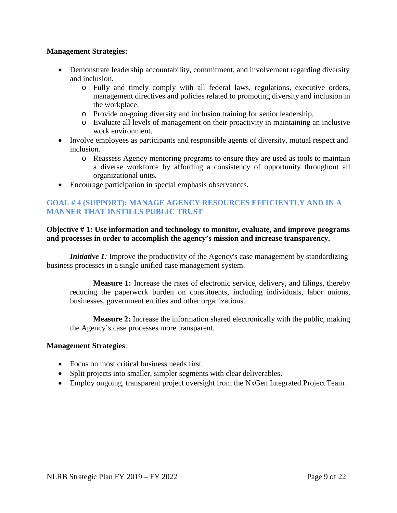#### **Management Strategies:**

- Demonstrate leadership accountability, commitment, and involvement regarding diversity and inclusion.
	- o Fully and timely comply with all federal laws, regulations, executive orders, management directives and policies related to promoting diversity and inclusion in the workplace.
	- o Provide on-going diversity and inclusion training for senior leadership.
	- o Evaluate all levels of management on their proactivity in maintaining an inclusive work environment.
- Involve employees as participants and responsible agents of diversity, mutual respect and inclusion.
	- o Reassess Agency mentoring programs to ensure they are used as tools to maintain a diverse workforce by affording a consistency of opportunity throughout all organizational units.
- Encourage participation in special emphasis observances.

#### **GOAL # 4 (SUPPORT): MANAGE AGENCY RESOURCES EFFICIENTLY AND IN A MANNER THAT INSTILLS PUBLIC TRUST**

#### **Objective # 1: Use information and technology to monitor, evaluate, and improve programs and processes in order to accomplish the agency's mission and increase transparency.**

*Initiative 1:* Improve the productivity of the Agency's case management by standardizing business processes in a single unified case management system.

**Measure 1:** Increase the rates of electronic service, delivery, and filings, thereby reducing the paperwork burden on constituents, including individuals, labor unions, businesses, government entities and other organizations.

**Measure 2:** Increase the information shared electronically with the public, making the Agency's case processes more transparent.

#### **Management Strategies**:

- Focus on most critical business needs first.
- Split projects into smaller, simpler segments with clear deliverables.
- Employ ongoing, transparent project oversight from the NxGen Integrated Project Team.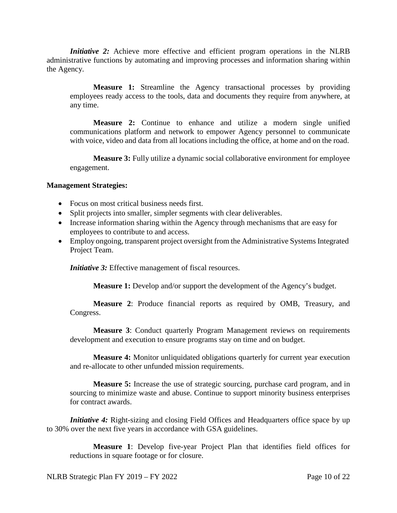*Initiative 2:* Achieve more effective and efficient program operations in the NLRB administrative functions by automating and improving processes and information sharing within the Agency.

**Measure 1:** Streamline the Agency transactional processes by providing employees ready access to the tools, data and documents they require from anywhere, at any time.

**Measure 2:** Continue to enhance and utilize a modern single unified communications platform and network to empower Agency personnel to communicate with voice, video and data from all locations including the office, at home and on the road.

**Measure 3:** Fully utilize a dynamic social collaborative environment for employee engagement.

#### **Management Strategies:**

- Focus on most critical business needs first.
- Split projects into smaller, simpler segments with clear deliverables.
- Increase information sharing within the Agency through mechanisms that are easy for employees to contribute to and access.
- Employ ongoing, transparent project oversight from the Administrative Systems Integrated Project Team.

*Initiative 3:* Effective management of fiscal resources.

**Measure 1:** Develop and/or support the development of the Agency's budget.

**Measure 2**: Produce financial reports as required by OMB, Treasury, and Congress.

**Measure 3**: Conduct quarterly Program Management reviews on requirements development and execution to ensure programs stay on time and on budget.

**Measure 4:** Monitor unliquidated obligations quarterly for current year execution and re-allocate to other unfunded mission requirements.

**Measure 5:** Increase the use of strategic sourcing, purchase card program, and in sourcing to minimize waste and abuse. Continue to support minority business enterprises for contract awards.

*Initiative 4:* Right-sizing and closing Field Offices and Headquarters office space by up to 30% over the next five years in accordance with GSA guidelines.

**Measure 1**: Develop five-year Project Plan that identifies field offices for reductions in square footage or for closure.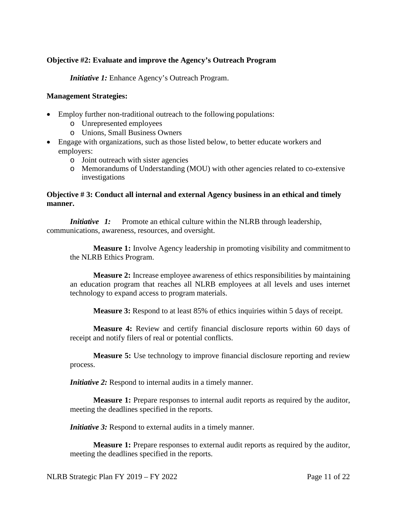#### **Objective #2: Evaluate and improve the Agency's Outreach Program**

*Initiative 1:* Enhance Agency's Outreach Program.

#### **Management Strategies:**

- Employ further non-traditional outreach to the following populations:
	- o Unrepresented employees
	- o Unions, Small Business Owners
- Engage with organizations, such as those listed below, to better educate workers and employers:
	- o Joint outreach with sister agencies
	- o Memorandums of Understanding (MOU) with other agencies related to co-extensive investigations

#### **Objective # 3: Conduct all internal and external Agency business in an ethical and timely manner.**

*Initiative 1:* Promote an ethical culture within the NLRB through leadership, communications, awareness, resources, and oversight.

**Measure 1:** Involve Agency leadership in promoting visibility and commitment to the NLRB Ethics Program.

**Measure 2:** Increase employee awareness of ethics responsibilities by maintaining an education program that reaches all NLRB employees at all levels and uses internet technology to expand access to program materials.

**Measure 3:** Respond to at least 85% of ethics inquiries within 5 days of receipt.

**Measure 4:** Review and certify financial disclosure reports within 60 days of receipt and notify filers of real or potential conflicts.

**Measure 5:** Use technology to improve financial disclosure reporting and review process.

*Initiative 2:* Respond to internal audits in a timely manner.

**Measure 1:** Prepare responses to internal audit reports as required by the auditor, meeting the deadlines specified in the reports.

*Initiative 3:* Respond to external audits in a timely manner.

**Measure 1:** Prepare responses to external audit reports as required by the auditor, meeting the deadlines specified in the reports.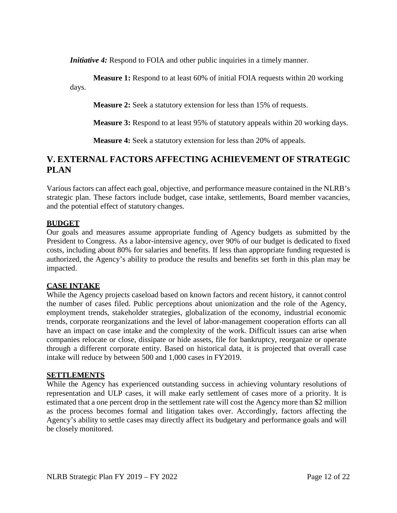*Initiative 4:* Respond to FOIA and other public inquiries in a timely manner.

**Measure 1:** Respond to at least 60% of initial FOIA requests within 20 working days.

**Measure 2:** Seek a statutory extension for less than 15% of requests.

**Measure 3:** Respond to at least 95% of statutory appeals within 20 working days.

**Measure 4:** Seek a statutory extension for less than 20% of appeals.

# **V. EXTERNAL FACTORS AFFECTING ACHIEVEMENT OF STRATEGIC PLAN**

Various factors can affect each goal, objective, and performance measure contained in the NLRB's strategic plan. These factors include budget, case intake, settlements, Board member vacancies, and the potential effect of statutory changes.

#### **BUDGET**

Our goals and measures assume appropriate funding of Agency budgets as submitted by the President to Congress. As a labor-intensive agency, over 90% of our budget is dedicated to fixed costs, including about 80% for salaries and benefits. If less than appropriate funding requested is authorized, the Agency's ability to produce the results and benefits set forth in this plan may be impacted.

#### **CASE INTAKE**

While the Agency projects caseload based on known factors and recent history, it cannot control the number of cases filed. Public perceptions about unionization and the role of the Agency, employment trends, stakeholder strategies, globalization of the economy, industrial economic trends, corporate reorganizations and the level of labor-management cooperation efforts can all have an impact on case intake and the complexity of the work. Difficult issues can arise when companies relocate or close, dissipate or hide assets, file for bankruptcy, reorganize or operate through a different corporate entity. Based on historical data, it is projected that overall case intake will reduce by between 500 and 1,000 cases in FY2019.

#### **SETTLEMENTS**

While the Agency has experienced outstanding success in achieving voluntary resolutions of representation and ULP cases, it will make early settlement of cases more of a priority. It is estimated that a one percent drop in the settlement rate will cost the Agency more than \$2 million as the process becomes formal and litigation takes over. Accordingly, factors affecting the Agency's ability to settle cases may directly affect its budgetary and performance goals and will be closely monitored.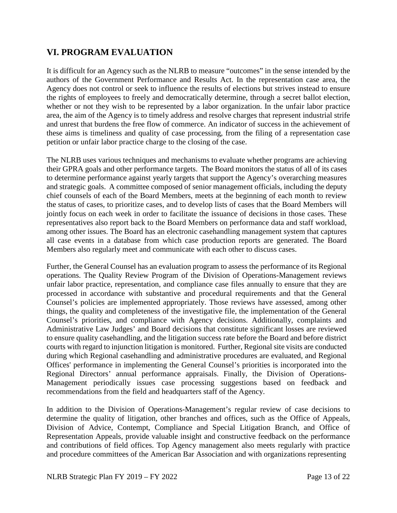# **VI. PROGRAM EVALUATION**

It is difficult for an Agency such as the NLRB to measure "outcomes" in the sense intended by the authors of the Government Performance and Results Act. In the representation case area, the Agency does not control or seek to influence the results of elections but strives instead to ensure the rights of employees to freely and democratically determine, through a secret ballot election, whether or not they wish to be represented by a labor organization. In the unfair labor practice area, the aim of the Agency is to timely address and resolve charges that represent industrial strife and unrest that burdens the free flow of commerce. An indicator of success in the achievement of these aims is timeliness and quality of case processing, from the filing of a representation case petition or unfair labor practice charge to the closing of the case.

The NLRB uses various techniques and mechanisms to evaluate whether programs are achieving their GPRA goals and other performance targets. The Board monitors the status of all of its cases to determine performance against yearly targets that support the Agency's overarching measures and strategic goals. A committee composed of senior management officials, including the deputy chief counsels of each of the Board Members, meets at the beginning of each month to review the status of cases, to prioritize cases, and to develop lists of cases that the Board Members will jointly focus on each week in order to facilitate the issuance of decisions in those cases. These representatives also report back to the Board Members on performance data and staff workload, among other issues. The Board has an electronic casehandling management system that captures all case events in a database from which case production reports are generated. The Board Members also regularly meet and communicate with each other to discuss cases.

Further, the General Counsel has an evaluation program to assess the performance of its Regional operations. The Quality Review Program of the Division of Operations-Management reviews unfair labor practice, representation, and compliance case files annually to ensure that they are processed in accordance with substantive and procedural requirements and that the General Counsel's policies are implemented appropriately. Those reviews have assessed, among other things, the quality and completeness of the investigative file, the implementation of the General Counsel's priorities, and compliance with Agency decisions. Additionally, complaints and Administrative Law Judges' and Board decisions that constitute significant losses are reviewed to ensure quality casehandling, and the litigation success rate before the Board and before district courts with regard to injunction litigation is monitored. Further, Regional site visits are conducted during which Regional casehandling and administrative procedures are evaluated, and Regional Offices' performance in implementing the General Counsel's priorities is incorporated into the Regional Directors' annual performance appraisals. Finally, the Division of Operations-Management periodically issues case processing suggestions based on feedback and recommendations from the field and headquarters staff of the Agency.

In addition to the Division of Operations-Management's regular review of case decisions to determine the quality of litigation, other branches and offices, such as the Office of Appeals, Division of Advice, Contempt, Compliance and Special Litigation Branch, and Office of Representation Appeals, provide valuable insight and constructive feedback on the performance and contributions of field offices. Top Agency management also meets regularly with practice and procedure committees of the American Bar Association and with organizations representing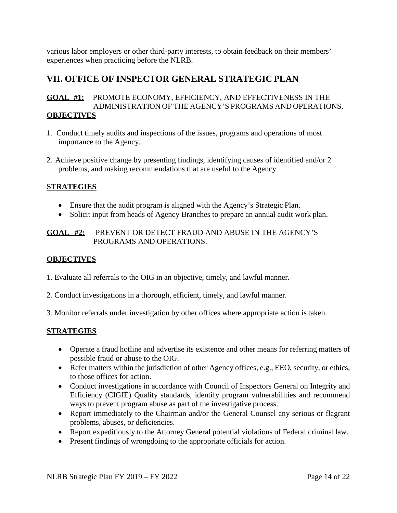various labor employers or other third-party interests, to obtain feedback on their members' experiences when practicing before the NLRB.

# **VII. OFFICE OF INSPECTOR GENERAL STRATEGIC PLAN**

#### **GOAL #1:** PROMOTE ECONOMY, EFFICIENCY, AND EFFECTIVENESS IN THE ADMINISTRATION OF THE AGENCY'S PROGRAMS AND OPERATIONS. **OBJECTIVES**

- 1. Conduct timely audits and inspections of the issues, programs and operations of most importance to the Agency.
- 2. Achieve positive change by presenting findings, identifying causes of identified and/or 2 problems, and making recommendations that are useful to the Agency.

#### **STRATEGIES**

- Ensure that the audit program is aligned with the Agency's Strategic Plan.
- Solicit input from heads of Agency Branches to prepare an annual audit work plan.

#### **GOAL #2:** PREVENT OR DETECT FRAUD AND ABUSE IN THE AGENCY'S PROGRAMS AND OPERATIONS.

#### **OBJECTIVES**

- 1. Evaluate all referrals to the OIG in an objective, timely, and lawful manner.
- 2. Conduct investigations in a thorough, efficient, timely, and lawful manner.
- 3. Monitor referrals under investigation by other offices where appropriate action is taken.

#### **STRATEGIES**

- Operate a fraud hotline and advertise its existence and other means for referring matters of possible fraud or abuse to the OIG.
- Refer matters within the jurisdiction of other Agency offices, e.g., EEO, security, or ethics, to those offices for action.
- Conduct investigations in accordance with Council of Inspectors General on Integrity and Efficiency (CIGIE) Quality standards, identify program vulnerabilities and recommend ways to prevent program abuse as part of the investigative process.
- Report immediately to the Chairman and/or the General Counsel any serious or flagrant problems, abuses, or deficiencies.
- Report expeditiously to the Attorney General potential violations of Federal criminal law.
- Present findings of wrongdoing to the appropriate officials for action.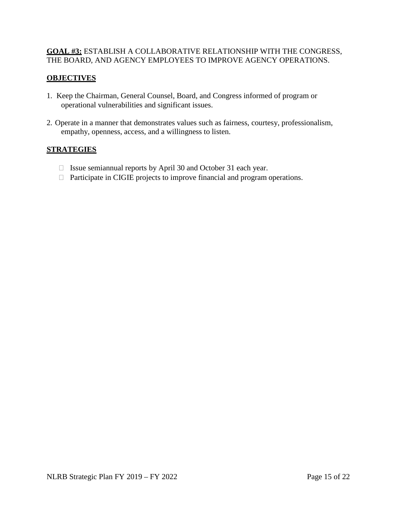#### **GOAL #3:** ESTABLISH A COLLABORATIVE RELATIONSHIP WITH THE CONGRESS, THE BOARD, AND AGENCY EMPLOYEES TO IMPROVE AGENCY OPERATIONS.

#### **OBJECTIVES**

- 1. Keep the Chairman, General Counsel, Board, and Congress informed of program or operational vulnerabilities and significant issues.
- 2. Operate in a manner that demonstrates values such as fairness, courtesy, professionalism, empathy, openness, access, and a willingness to listen.

#### **STRATEGIES**

- $\Box$  Issue semiannual reports by April 30 and October 31 each year.
- $\Box$  Participate in CIGIE projects to improve financial and program operations.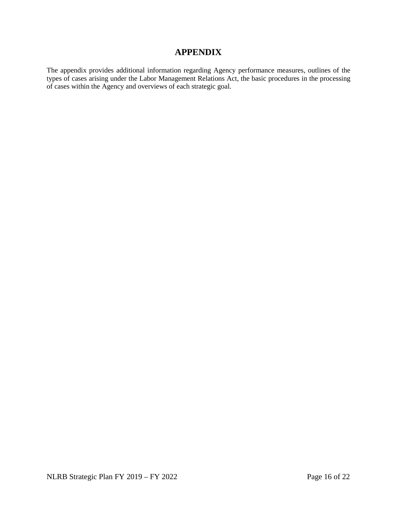### **APPENDIX**

The appendix provides additional information regarding Agency performance measures, outlines of the types of cases arising under the Labor Management Relations Act, the basic procedures in the processing of cases within the Agency and overviews of each strategic goal.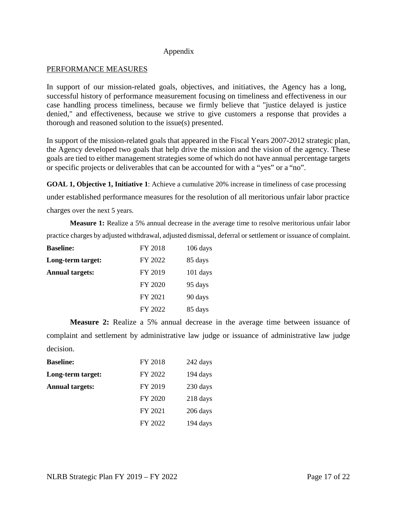#### Appendix

#### PERFORMANCE MEASURES

In support of our mission-related goals, objectives, and initiatives, the Agency has a long, successful history of performance measurement focusing on timeliness and effectiveness in our case handling process timeliness, because we firmly believe that "justice delayed is justice denied," and effectiveness, because we strive to give customers a response that provides a thorough and reasoned solution to the issue(s) presented.

In support of the mission-related goals that appeared in the Fiscal Years 2007-2012 strategic plan, the Agency developed two goals that help drive the mission and the vision of the agency. These goals are tied to either management strategies some of which do not have annual percentage targets or specific projects or deliverables that can be accounted for with a "yes" or a "no".

**GOAL 1, Objective 1, Initiative 1**: Achieve a cumulative 20% increase in timeliness of case processing

under established performance measures for the resolution of all meritorious unfair labor practice

charges over the next 5 years.

**Measure 1:** Realize a 5% annual decrease in the average time to resolve meritorious unfair labor practice charges by adjusted withdrawal, adjusted dismissal, deferral or settlement or issuance of complaint.

| <b>Baseline:</b>       | FY 2018 | $106$ days |
|------------------------|---------|------------|
| Long-term target:      | FY 2022 | 85 days    |
| <b>Annual targets:</b> | FY 2019 | $101$ days |
|                        | FY 2020 | 95 days    |
|                        | FY 2021 | 90 days    |
|                        | FY 2022 | 85 days    |

**Measure 2:** Realize a 5% annual decrease in the average time between issuance of complaint and settlement by administrative law judge or issuance of administrative law judge decision.

| <b>Baseline:</b>       | FY 2018 | 242 days |
|------------------------|---------|----------|
| Long-term target:      | FY 2022 | 194 days |
| <b>Annual targets:</b> | FY 2019 | 230 days |
|                        | FY 2020 | 218 days |
|                        | FY 2021 | 206 days |
|                        | FY 2022 | 194 days |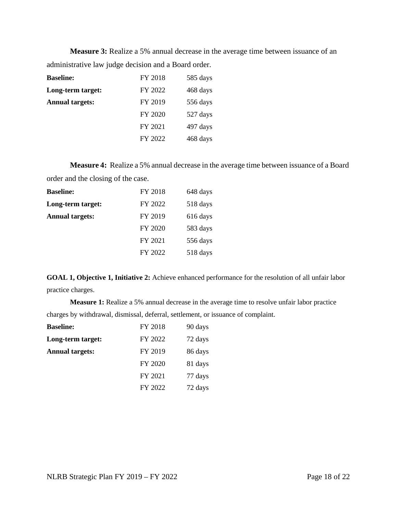**Measure 3:** Realize a 5% annual decrease in the average time between issuance of an administrative law judge decision and a Board order.

| <b>Baseline:</b>       | FY 2018 | 585 days |
|------------------------|---------|----------|
| Long-term target:      | FY 2022 | 468 days |
| <b>Annual targets:</b> | FY 2019 | 556 days |
|                        | FY 2020 | 527 days |
|                        | FY 2021 | 497 days |
|                        | FY 2022 | 468 days |

**Measure 4:** Realize a 5% annual decrease in the average time between issuance of a Board order and the closing of the case.

| <b>Baseline:</b>       | FY 2018 | 648 days |
|------------------------|---------|----------|
| Long-term target:      | FY 2022 | 518 days |
| <b>Annual targets:</b> | FY 2019 | 616 days |
|                        | FY 2020 | 583 days |
|                        | FY 2021 | 556 days |
|                        | FY 2022 | 518 days |

**GOAL 1, Objective 1, Initiative 2:** Achieve enhanced performance for the resolution of all unfair labor practice charges.

**Measure 1:** Realize a 5% annual decrease in the average time to resolve unfair labor practice charges by withdrawal, dismissal, deferral, settlement, or issuance of complaint.

| <b>Baseline:</b>       | FY 2018 | 90 days |
|------------------------|---------|---------|
| Long-term target:      | FY 2022 | 72 days |
| <b>Annual targets:</b> | FY 2019 | 86 days |
|                        | FY 2020 | 81 days |
|                        | FY 2021 | 77 days |
|                        | FY 2022 | 72 days |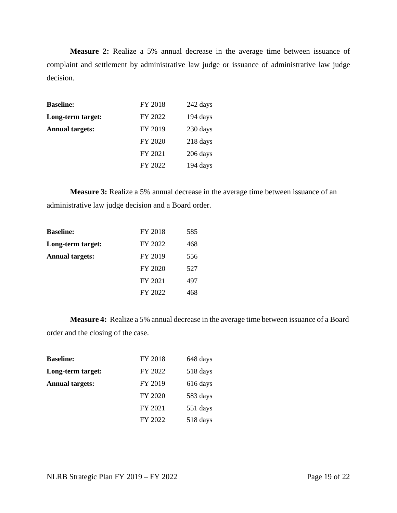**Measure 2:** Realize a 5% annual decrease in the average time between issuance of complaint and settlement by administrative law judge or issuance of administrative law judge decision.

| <b>Baseline:</b>       | FY 2018 | 242 days |
|------------------------|---------|----------|
| Long-term target:      | FY 2022 | 194 days |
| <b>Annual targets:</b> | FY 2019 | 230 days |
|                        | FY 2020 | 218 days |
|                        | FY 2021 | 206 days |
|                        | FY 2022 | 194 days |

**Measure 3:** Realize a 5% annual decrease in the average time between issuance of an administrative law judge decision and a Board order.

| <b>Baseline:</b>       | FY 2018 | 585 |
|------------------------|---------|-----|
| Long-term target:      | FY 2022 | 468 |
| <b>Annual targets:</b> | FY 2019 | 556 |
|                        | FY 2020 | 527 |
|                        | FY 2021 | 497 |
|                        | FY 2022 | 468 |

**Measure 4:** Realize a 5% annual decrease in the average time between issuance of a Board order and the closing of the case.

| <b>Baseline:</b>       | FY 2018 | 648 days |
|------------------------|---------|----------|
| Long-term target:      | FY 2022 | 518 days |
| <b>Annual targets:</b> | FY 2019 | 616 days |
|                        | FY 2020 | 583 days |
|                        | FY 2021 | 551 days |
|                        | FY 2022 | 518 days |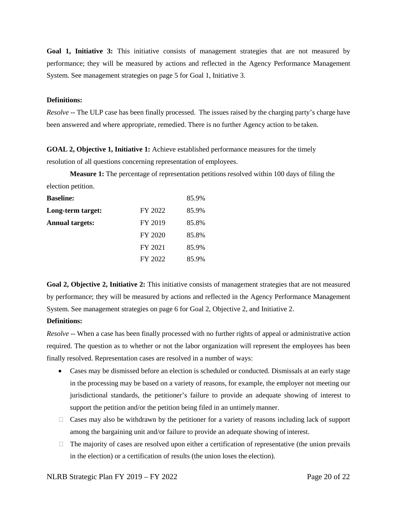Goal 1, Initiative 3: This initiative consists of management strategies that are not measured by performance; they will be measured by actions and reflected in the Agency Performance Management System. See management strategies on page 5 for Goal 1, Initiative 3.

#### **Definitions:**

*Resolve* -- The ULP case has been finally processed. The issues raised by the charging party's charge have been answered and where appropriate, remedied. There is no further Agency action to be taken.

**GOAL 2, Objective 1, Initiative 1:** Achieve established performance measures for the timely resolution of all questions concerning representation of employees.

**Measure 1:** The percentage of representation petitions resolved within 100 days of filing the election petition.

| <b>Baseline:</b>       |         | 85.9% |
|------------------------|---------|-------|
| Long-term target:      | FY 2022 | 85.9% |
| <b>Annual targets:</b> | FY 2019 | 85.8% |
|                        | FY 2020 | 85.8% |
|                        | FY 2021 | 85.9% |
|                        | FY 2022 | 85.9% |

**Goal 2, Objective 2, Initiative 2:** This initiative consists of management strategies that are not measured by performance; they will be measured by actions and reflected in the Agency Performance Management System. See management strategies on page 6 for Goal 2, Objective 2, and Initiative 2.

#### **Definitions:**

*Resolve* -- When a case has been finally processed with no further rights of appeal or administrative action required. The question as to whether or not the labor organization will represent the employees has been finally resolved. Representation cases are resolved in a number of ways:

- Cases may be dismissed before an election is scheduled or conducted. Dismissals at an early stage in the processing may be based on a variety of reasons, for example, the employer not meeting our jurisdictional standards, the petitioner's failure to provide an adequate showing of interest to support the petition and/or the petition being filed in an untimely manner.
- $\Box$  Cases may also be withdrawn by the petitioner for a variety of reasons including lack of support among the bargaining unit and/or failure to provide an adequate showing of interest.
- $\Box$  The majority of cases are resolved upon either a certification of representative (the union prevails in the election) or a certification of results (the union loses the election).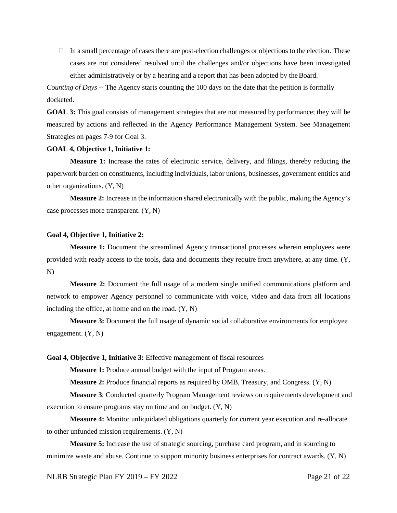$\Box$  In a small percentage of cases there are post-election challenges or objections to the election. These cases are not considered resolved until the challenges and/or objections have been investigated either administratively or by a hearing and a report that has been adopted by the Board.

*Counting of Days --* The Agency starts counting the 100 days on the date that the petition is formally docketed.

**GOAL 3:** This goal consists of management strategies that are not measured by performance; they will be measured by actions and reflected in the Agency Performance Management System. See Management Strategies on pages 7-9 for Goal 3.

#### **GOAL 4, Objective 1, Initiative 1:**

**Measure 1:** Increase the rates of electronic service, delivery, and filings, thereby reducing the paperwork burden on constituents, including individuals, labor unions, businesses, government entities and other organizations. (Y, N)

**Measure 2:** Increase in the information shared electronically with the public, making the Agency's case processes more transparent. (Y, N)

#### **Goal 4, Objective 1, Initiative 2:**

**Measure 1:** Document the streamlined Agency transactional processes wherein employees were provided with ready access to the tools, data and documents they require from anywhere, at any time. (Y, N)

**Measure 2:** Document the full usage of a modern single unified communications platform and network to empower Agency personnel to communicate with voice, video and data from all locations including the office, at home and on the road.  $(Y, N)$ 

**Measure 3:** Document the full usage of dynamic social collaborative environments for employee engagement. (Y, N)

#### **Goal 4, Objective 1, Initiative 3:** Effective management of fiscal resources

**Measure 1:** Produce annual budget with the input of Program areas.

**Measure 2:** Produce financial reports as required by OMB, Treasury, and Congress. (Y, N)

**Measure 3**: Conducted quarterly Program Management reviews on requirements development and execution to ensure programs stay on time and on budget. (Y, N)

**Measure 4:** Monitor unliquidated obligations quarterly for current year execution and re-allocate to other unfunded mission requirements. (Y, N)

**Measure 5:** Increase the use of strategic sourcing, purchase card program, and in sourcing to minimize waste and abuse. Continue to support minority business enterprises for contract awards. (Y, N)